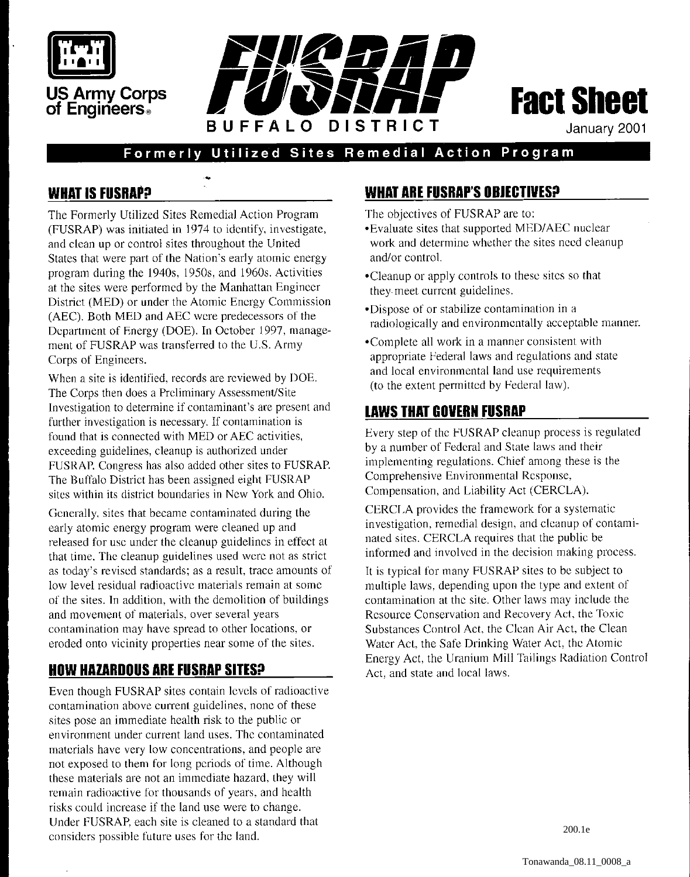

# **US Army Corps of Engineers**





January 2001

## Formerly Utilized Sites Remedial Action Program

#### **WHAT IS FUSRAP?**

The Formerly Utilized Sites Remedial Action Program (FUSRAP) was initiated in 1974 to identify. investigate, and clean up or control sites throughout the United States that were part of the Nation's early atomic energy program during the 1940s, 1950s, and 1960s. Activities at the sites were performed by the Manhattan Enginccr District (MED) or under the Atomic Energy Commission (AEC). Both MED and AEC wcre predecessors of the Department of Energy (DOE). In October 1997, management of FUSRAP was transferred to the U.S. Army Corps of Engineers.

When a site is identified, records are reviewed by DOE. The Corps then does a Preliminary Assessment/Site Investigation to determine if contaminant's are present and further investigation is necessary. If contamination is found that is connected with MED or AEC activities, excecding guidelines, cleanup is authorized under FUSRAP. Congress has also added other sites to FUSRAP. The Buffalo District has been assigned eight FUSRAP sitcs within its district boundaries in New York and Ohio.

Generally, sites that became contaminated during the early atomic energy program were cleaned up and released for usc under the cleanup guidelines in effect at that time. The cleanup guidelines used wcrc not as strict as today's revised standards; as a result, trace amounts of low level residual radioactive materials remain at some of the sites. In addition. with the demolition of buildings and movement of materials. over several years contamination may have spread to other locations, or eroded onto vicinity properties near some of the sites.

### **HOW HAZARDOUS ARE FUSRAP SITES?**

Even though FUSKAP sites contain lcvels of radioactive contamination above current guidelines, none of these sites pose an immediate health risk to the public or environment under current land uses. The contaminated materials have very low concentrations, and people are not exposed to them for long periods of time. Although these materials are not an immediate hazard, they will remain radioactive for thousands of years, and health risks could increase if the land use were to change. Under FUSRAP. each site is cleaned to a standard that considers possible future uses for thc land.

#### **WHAT ARE FUSRAP'S OBIECTIVES?**

The objectives of FUSRAP are to:

- .Evaluate sites that supported MEDIAEC nuclear work and determine whether the sites need cleanup and/or control.
- \*Cleanup or apply controls to thesc sitcs so that they meet current guidelines.
- .Dispose of or stabilize contamination in a radiologically and environmentally acceptable manner.
- \*Complete all work in a manner consistent with appropriate Federal laws and regulations and state and local environmental land use requirements (to the extent permitted by Federal law).

#### **LAWS THAT GOVERN FUSRAP**

Every step of the FUSRAP cleanup process is regulatcd by a number of Federal and State laws and their implementing regulations. Chief among these is the Comprehensive Environmental Response, Compensation, and Liability Act (CERCLA).

CERCI.A provides the framework for a systematic investigation. rernedial design. and cleanup of contaminated sites. CERCLA requires that the public be informed and involved in the decision making process.

It is typical for many FUSRAP sites to be subject to multiple laws, depending upon the type and extent of contamination at thc site. Other laws may include the Resource Conservation and Recovery Act. the Toxic Substances Control Act, the Clean Air Act, the Clean Water Act, the Safe Drinking Water Act, the Atomic Energy Act, the Uranium Mill Tailings Radiation Control Act. and state and local laws.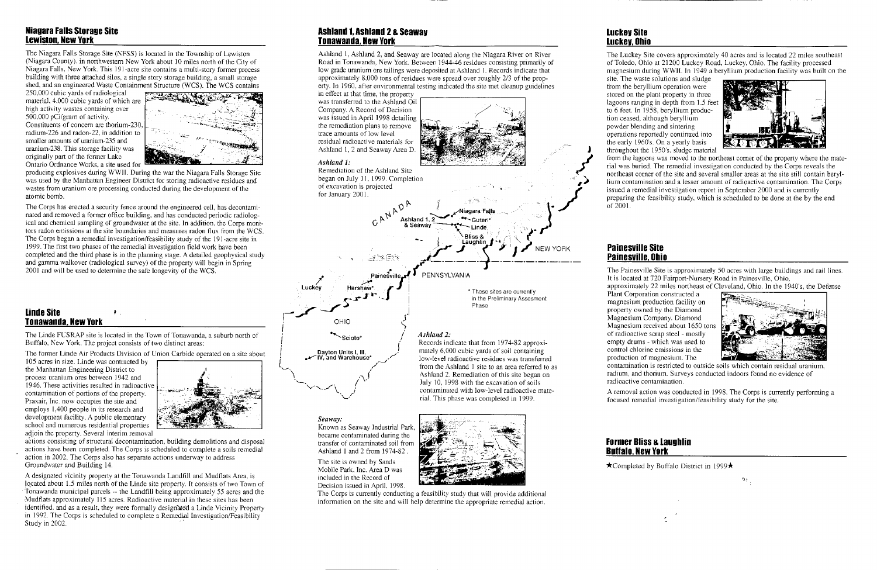#### **Niagara Falls Storage Site Lewiston, New York**

The Niagara Falls Storage Site (KFSS) is located in the Township of Lewiston (Niagara County). in northwestem New York about 10 miles north of the City of Niagara Falls, New York. This 191-acre site contains a multi-story former process building with three attached silos, a single story storage building, a small storage shed. and an engineered Waste Containment Structure (WCS). The WCS contains

250,000 cubic yards of radiological material, 4,000 cubic yards of which are<br>high activity wastes containing over<br>500,000 pCi/gram of activity.

Constituents of concern are thorium-230, radium-226 and radon-22, in addition to smaller amounts of uranium-235 and uranium-238. This storage facility was originally part of the former Lake Ontario Ordnance Works. a site used for



The Corps has erected a security fence around the engineered cell, has decontaminated and removed a forrner ofiice building, and has conducted periodic radiological and chemical sampling of groundwater at the site. In addition. the Corps monitors radon emissions at the site boundaries and measures radon flux from the WCS. The Corps began a remedial investigation/feasibility study of the 191-acre site in 1999. The first two phases of the remedial investigation field work have been completed and the third phase is in the planning stage. A detailed geophysical study completed and the third phase is in the planning stage. A detailed geophysical student gamma walkover (radiological survey) of the property will begin in Spring 2001 and will be used to determine the safe longevity of the

producing explosives during WWII. During the war the Niagara Falls Storage Site was used by the Manhattan Engineer District for storing radioactive residues and wastes from uranium ore processing conducted during the development of the atomic bomb.

#### **Ashland 1, Ashland 2 a Seaway Tonawanda, New York**

Ashland 1, Ashland 2, and Seaway are located along the Niagara River on River Road in Tonawanda, New York. Between 1944-46 residues consisting primarily of low grade uranium ore tailings were deposited at Ashland I. Records indicate that approximately 8.000 tons of residues were spread over roughly 213 of the property. In 1960. after environmental testing indicated the site met cleanup guidelines in effect at that time. the property

was transferred to the Ashland Oil Company. A Record of Decision was issued in April 1998 detailing the remediation plans to remove trace amounts of low level residual radioactive materials for Ashland 1,2 and Seaway Area D.

#### **Ashland 1:**

Remediation of the Ashland Site began on July 11, 1999. Completion of excavation is projected

site. The waste solutions and sludge from the beryllium operation were stored on the plant property in three lagoons ranging in depth from 1.5 feet to 6 feet. In 1958. beryllium production ceased. although beryllium powder blending and sintering operations reportedly continued into the early 1960's. On a yearly basis throughout the 1950's, sludge material



## **Tonawanda, New York I** OHIO

I

The forrner Linde Air Products Division of Union Carbide operated on a site about

The Painesville Site is approximately 50 acres with large buildings and rail lines. It is located at 720 Fairport-Nursery Road in Painesville. Ohio.

approximately 22 miles northeast of Cleveland, Ohio. In the 1940's, the Defense Plant Corporation constructed a

105 acres in sire. Linde was contracted by the Manhattan Engineering District to process uranium ores between 1942 and 1946. These activities resulted in radioactive contamination of portions of the property. Praxair; Inc. now occupies the site and employs 1.400 people in its research and development facility. A public elementary school and numerous residential properties adjoin the property. Several interim removal



A removal action was conducted in 1998. The Corps is currently performing a focused remedial investigation/feasibility study for the site.



actions consisting of structural decontamination. building demolitions and disposal actions have been completed. The Corps is scheduled to complete a soils remedial action in 2002. The Corps also has separate actions underway to address Groundwater and Building 14.

*Seaway:* 

Known as Seaway industrial Park. became contaminated during the transfer of contaminated soil from Ashland I and 2 from 1974-82

The site is owned by Sands Mobile Park, Inc. Area D was included in the Record of Decision issued in April. 1998.



July 10, 1998 with the excavation of soils<br>contaminated with low-level radioactive mate-

rial. This phase was completed in 1999.

The Corps is currently conducting a feasibility study that will provide additional information on the site and will help determine the appropriate remedial action.

#### **Luckey Site Luckey, Ohio**

The Luckey Site covers approximately 40 acres and is located 22 miles southeast of Toledo, Ohio at 21200 Luckey Road, Luckey, Ohio. The facility processed magnesium during WWII. In 1949 a beryllium production facility was built on the

A designated vicinity property at the Tonawanda Landfill and Mudflats Area. is lo.cated about 1.5 miles north of the Linde site property. It consists of two Town of Tonawanda municipal parcels -- the Landfill being approximately 55 acres and the 4ludtlats approximately 115 acres. Radioactive material in these sites has been identified, and as a result, they were formally designated a Linde Vicinity Property in 1992. The Corps is scheduled to complete a Remedial Investigation/Feasibility Study in 2002.

from the lagoons was moved to the northeast comer of the property where the material was buried. The remedial investigation conducted by the Corps reveals the northeast corner of the site and several smaller areas at the site still contain beryllium contamination and a lesser amount of radioactive contamination. The Corps issued a remedial investigation report in September 2000 and is currently preparing the feasibility study, which is scheduled to be done at the by the end

of 2001.

#### **Painesville Site Painesville, Ohio**

magnesium production facility on property owned by the Diamond Magnesium Company. Diamond Magnesium received about 1650 tons of radioactive scrap steel - mostly empty drums - which was used to control chlorine emissions in the production of magnesium. The



contamination is restricted to outside soils which contain residual uranium; radium, and thorium. Surveys conducted indoors found no evidence of radioactive contamination.

 $\chi^{\rm N}_{L}$ 

#### **Former Bliss a Laughlin Buffalo, New York**

 $\star$ Completed by Buffalo District in 1999 $\star$